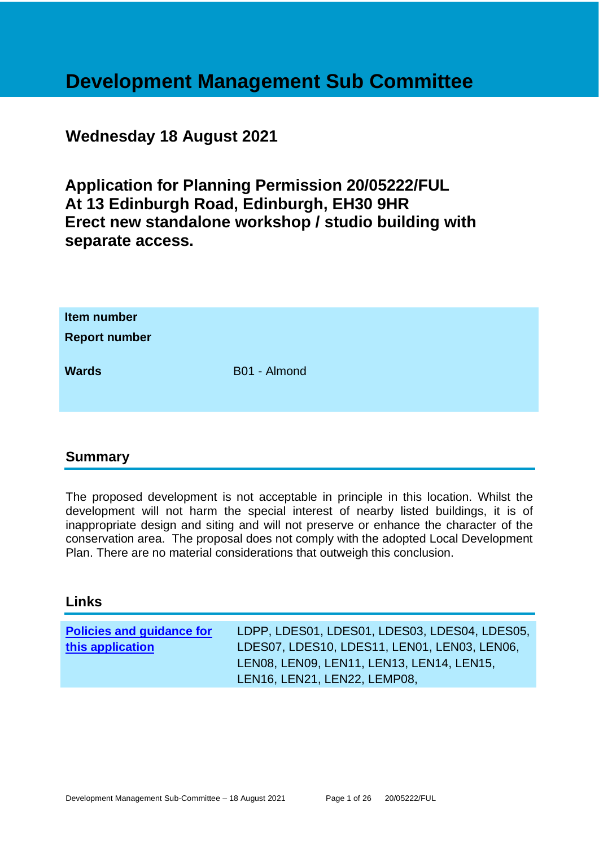# **Development Management Sub Committee**

## **Wednesday 18 August 2021**

**Application for Planning Permission 20/05222/FUL At 13 Edinburgh Road, Edinburgh, EH30 9HR Erect new standalone workshop / studio building with separate access.**

| Item number<br><b>Report number</b> |              |
|-------------------------------------|--------------|
| <b>Wards</b>                        | B01 - Almond |

## **Summary**

The proposed development is not acceptable in principle in this location. Whilst the development will not harm the special interest of nearby listed buildings, it is of inappropriate design and siting and will not preserve or enhance the character of the conservation area. The proposal does not comply with the adopted Local Development Plan. There are no material considerations that outweigh this conclusion.

## **Links**

| <b>Policies and guidance for</b> | LDPP, LDES01, LDES01, LDES03, LDES04, LDES05, |
|----------------------------------|-----------------------------------------------|
| this application                 | LDES07, LDES10, LDES11, LEN01, LEN03, LEN06,  |
|                                  | LENO8, LENO9, LEN11, LEN13, LEN14, LEN15,     |
|                                  | LEN16, LEN21, LEN22, LEMP08,                  |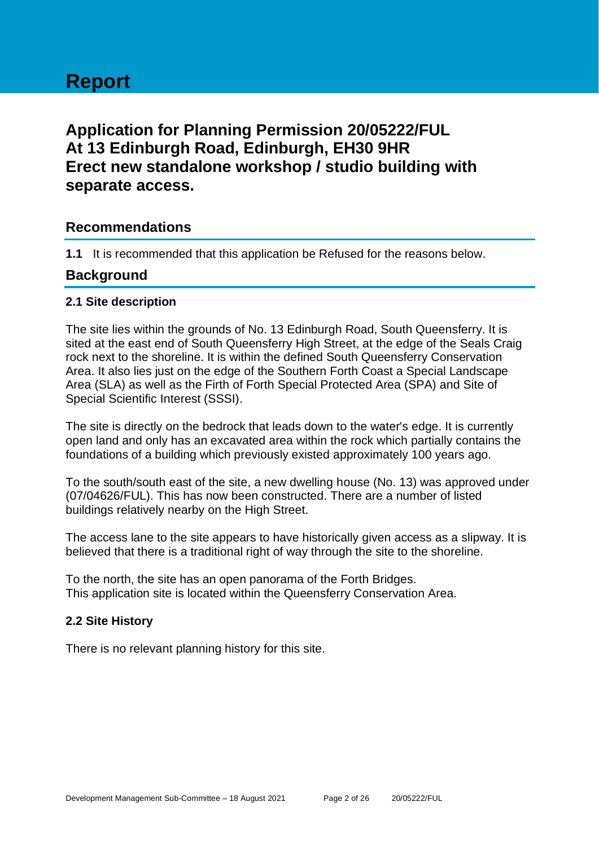# **Report**

## **Application for Planning Permission 20/05222/FUL At 13 Edinburgh Road, Edinburgh, EH30 9HR Erect new standalone workshop / studio building with separate access.**

## **Recommendations**

**1.1** It is recommended that this application be Refused for the reasons below.

## **Background**

## **2.1 Site description**

The site lies within the grounds of No. 13 Edinburgh Road, South Queensferry. It is sited at the east end of South Queensferry High Street, at the edge of the Seals Craig rock next to the shoreline. It is within the defined South Queensferry Conservation Area. It also lies just on the edge of the Southern Forth Coast a Special Landscape Area (SLA) as well as the Firth of Forth Special Protected Area (SPA) and Site of Special Scientific Interest (SSSI).

The site is directly on the bedrock that leads down to the water's edge. It is currently open land and only has an excavated area within the rock which partially contains the foundations of a building which previously existed approximately 100 years ago.

To the south/south east of the site, a new dwelling house (No. 13) was approved under (07/04626/FUL). This has now been constructed. There are a number of listed buildings relatively nearby on the High Street.

The access lane to the site appears to have historically given access as a slipway. It is believed that there is a traditional right of way through the site to the shoreline.

To the north, the site has an open panorama of the Forth Bridges. This application site is located within the Queensferry Conservation Area.

## **2.2 Site History**

There is no relevant planning history for this site.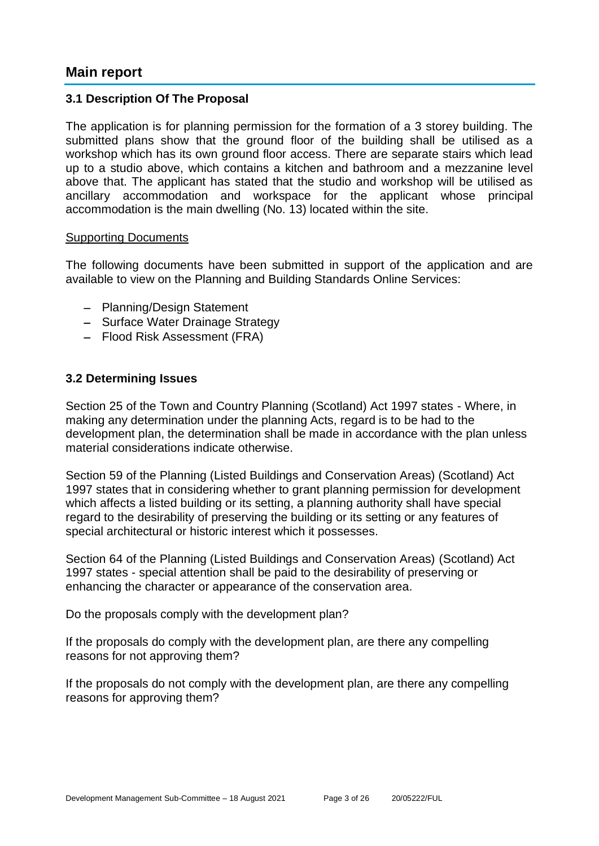## **Main report**

## **3.1 Description Of The Proposal**

The application is for planning permission for the formation of a 3 storey building. The submitted plans show that the ground floor of the building shall be utilised as a workshop which has its own ground floor access. There are separate stairs which lead up to a studio above, which contains a kitchen and bathroom and a mezzanine level above that. The applicant has stated that the studio and workshop will be utilised as ancillary accommodation and workspace for the applicant whose principal accommodation is the main dwelling (No. 13) located within the site.

#### Supporting Documents

The following documents have been submitted in support of the application and are available to view on the Planning and Building Standards Online Services:

- − Planning/Design Statement
- − Surface Water Drainage Strategy
- − Flood Risk Assessment (FRA)

## **3.2 Determining Issues**

Section 25 of the Town and Country Planning (Scotland) Act 1997 states - Where, in making any determination under the planning Acts, regard is to be had to the development plan, the determination shall be made in accordance with the plan unless material considerations indicate otherwise.

Section 59 of the Planning (Listed Buildings and Conservation Areas) (Scotland) Act 1997 states that in considering whether to grant planning permission for development which affects a listed building or its setting, a planning authority shall have special regard to the desirability of preserving the building or its setting or any features of special architectural or historic interest which it possesses.

Section 64 of the Planning (Listed Buildings and Conservation Areas) (Scotland) Act 1997 states - special attention shall be paid to the desirability of preserving or enhancing the character or appearance of the conservation area.

Do the proposals comply with the development plan?

If the proposals do comply with the development plan, are there any compelling reasons for not approving them?

If the proposals do not comply with the development plan, are there any compelling reasons for approving them?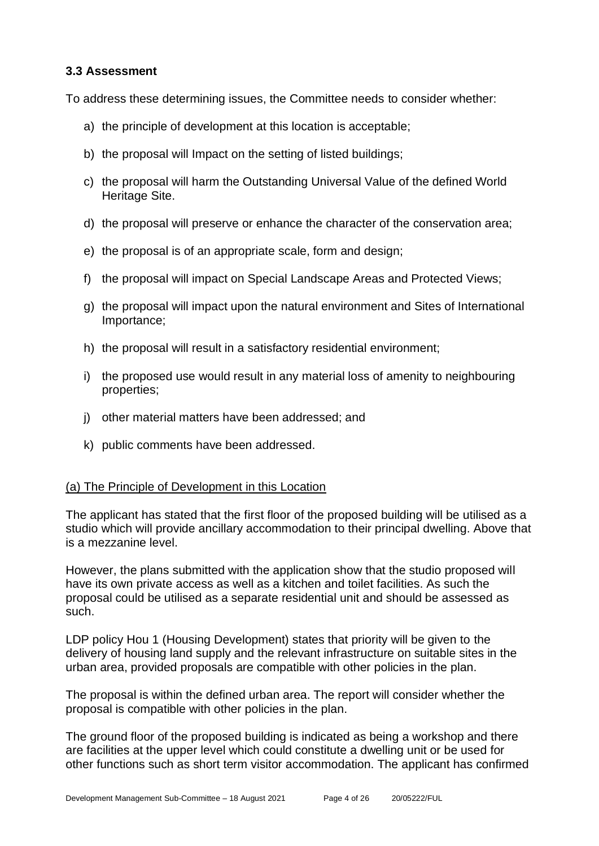## **3.3 Assessment**

To address these determining issues, the Committee needs to consider whether:

- a) the principle of development at this location is acceptable;
- b) the proposal will Impact on the setting of listed buildings;
- c) the proposal will harm the Outstanding Universal Value of the defined World Heritage Site.
- d) the proposal will preserve or enhance the character of the conservation area;
- e) the proposal is of an appropriate scale, form and design;
- f) the proposal will impact on Special Landscape Areas and Protected Views;
- g) the proposal will impact upon the natural environment and Sites of International Importance;
- h) the proposal will result in a satisfactory residential environment;
- i) the proposed use would result in any material loss of amenity to neighbouring properties;
- j) other material matters have been addressed; and
- k) public comments have been addressed.

#### (a) The Principle of Development in this Location

The applicant has stated that the first floor of the proposed building will be utilised as a studio which will provide ancillary accommodation to their principal dwelling. Above that is a mezzanine level.

However, the plans submitted with the application show that the studio proposed will have its own private access as well as a kitchen and toilet facilities. As such the proposal could be utilised as a separate residential unit and should be assessed as such.

LDP policy Hou 1 (Housing Development) states that priority will be given to the delivery of housing land supply and the relevant infrastructure on suitable sites in the urban area, provided proposals are compatible with other policies in the plan.

The proposal is within the defined urban area. The report will consider whether the proposal is compatible with other policies in the plan.

The ground floor of the proposed building is indicated as being a workshop and there are facilities at the upper level which could constitute a dwelling unit or be used for other functions such as short term visitor accommodation. The applicant has confirmed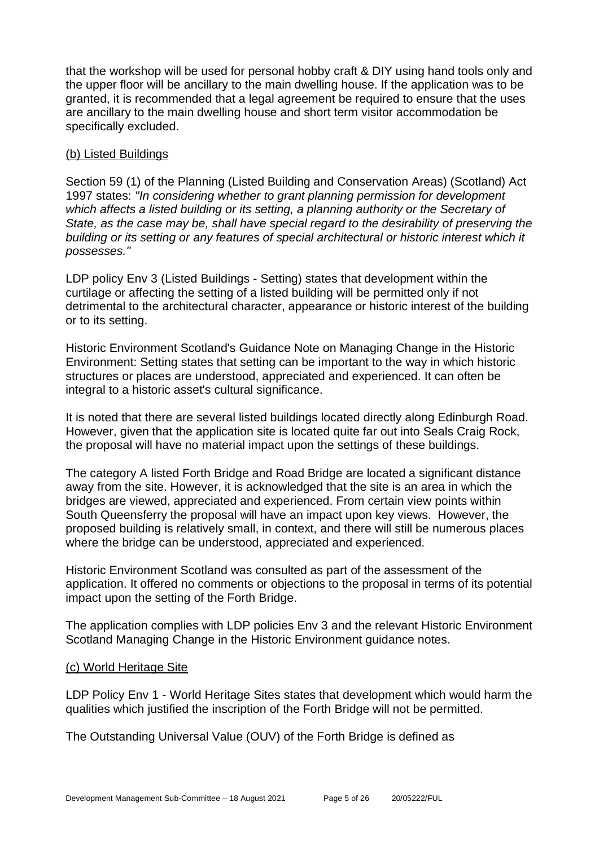that the workshop will be used for personal hobby craft & DIY using hand tools only and the upper floor will be ancillary to the main dwelling house. If the application was to be granted, it is recommended that a legal agreement be required to ensure that the uses are ancillary to the main dwelling house and short term visitor accommodation be specifically excluded.

## (b) Listed Buildings

Section 59 (1) of the Planning (Listed Building and Conservation Areas) (Scotland) Act 1997 states: *"In considering whether to grant planning permission for development which affects a listed building or its setting, a planning authority or the Secretary of State, as the case may be, shall have special regard to the desirability of preserving the building or its setting or any features of special architectural or historic interest which it possesses."*

LDP policy Env 3 (Listed Buildings - Setting) states that development within the curtilage or affecting the setting of a listed building will be permitted only if not detrimental to the architectural character, appearance or historic interest of the building or to its setting.

Historic Environment Scotland's Guidance Note on Managing Change in the Historic Environment: Setting states that setting can be important to the way in which historic structures or places are understood, appreciated and experienced. It can often be integral to a historic asset's cultural significance.

It is noted that there are several listed buildings located directly along Edinburgh Road. However, given that the application site is located quite far out into Seals Craig Rock, the proposal will have no material impact upon the settings of these buildings.

The category A listed Forth Bridge and Road Bridge are located a significant distance away from the site. However, it is acknowledged that the site is an area in which the bridges are viewed, appreciated and experienced. From certain view points within South Queensferry the proposal will have an impact upon key views. However, the proposed building is relatively small, in context, and there will still be numerous places where the bridge can be understood, appreciated and experienced.

Historic Environment Scotland was consulted as part of the assessment of the application. It offered no comments or objections to the proposal in terms of its potential impact upon the setting of the Forth Bridge.

The application complies with LDP policies Env 3 and the relevant Historic Environment Scotland Managing Change in the Historic Environment guidance notes.

#### (c) World Heritage Site

LDP Policy Env 1 - World Heritage Sites states that development which would harm the qualities which justified the inscription of the Forth Bridge will not be permitted.

The Outstanding Universal Value (OUV) of the Forth Bridge is defined as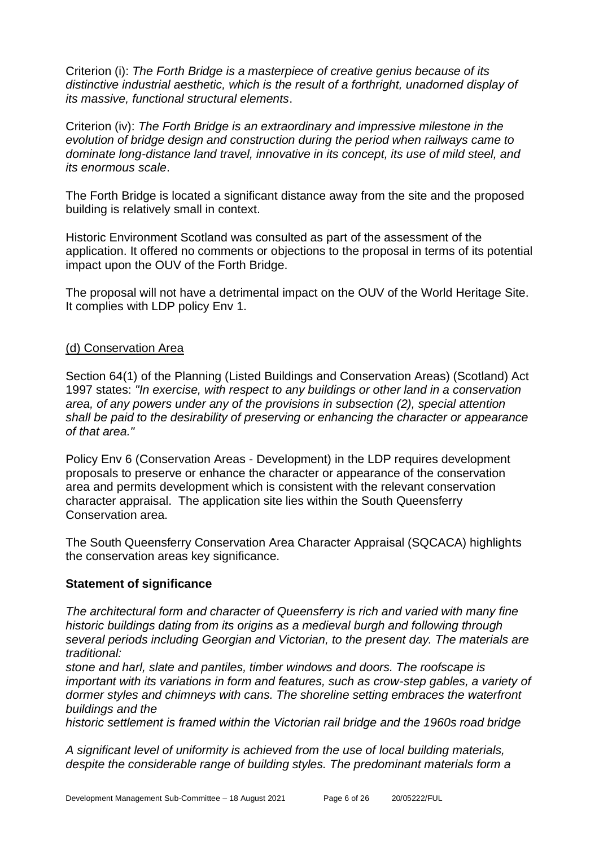Criterion (i): *The Forth Bridge is a masterpiece of creative genius because of its distinctive industrial aesthetic, which is the result of a forthright, unadorned display of its massive, functional structural elements*.

Criterion (iv): *The Forth Bridge is an extraordinary and impressive milestone in the evolution of bridge design and construction during the period when railways came to dominate long-distance land travel, innovative in its concept, its use of mild steel, and its enormous scale*.

The Forth Bridge is located a significant distance away from the site and the proposed building is relatively small in context.

Historic Environment Scotland was consulted as part of the assessment of the application. It offered no comments or objections to the proposal in terms of its potential impact upon the OUV of the Forth Bridge.

The proposal will not have a detrimental impact on the OUV of the World Heritage Site. It complies with LDP policy Env 1.

## (d) Conservation Area

Section 64(1) of the Planning (Listed Buildings and Conservation Areas) (Scotland) Act 1997 states: *"In exercise, with respect to any buildings or other land in a conservation area, of any powers under any of the provisions in subsection (2), special attention shall be paid to the desirability of preserving or enhancing the character or appearance of that area."*

Policy Env 6 (Conservation Areas - Development) in the LDP requires development proposals to preserve or enhance the character or appearance of the conservation area and permits development which is consistent with the relevant conservation character appraisal. The application site lies within the South Queensferry Conservation area.

The South Queensferry Conservation Area Character Appraisal (SQCACA) highlights the conservation areas key significance.

## **Statement of significance**

*The architectural form and character of Queensferry is rich and varied with many fine historic buildings dating from its origins as a medieval burgh and following through several periods including Georgian and Victorian, to the present day. The materials are traditional:*

*stone and harl, slate and pantiles, timber windows and doors. The roofscape is important with its variations in form and features, such as crow-step gables, a variety of dormer styles and chimneys with cans. The shoreline setting embraces the waterfront buildings and the*

*historic settlement is framed within the Victorian rail bridge and the 1960s road bridge*

*A significant level of uniformity is achieved from the use of local building materials, despite the considerable range of building styles. The predominant materials form a*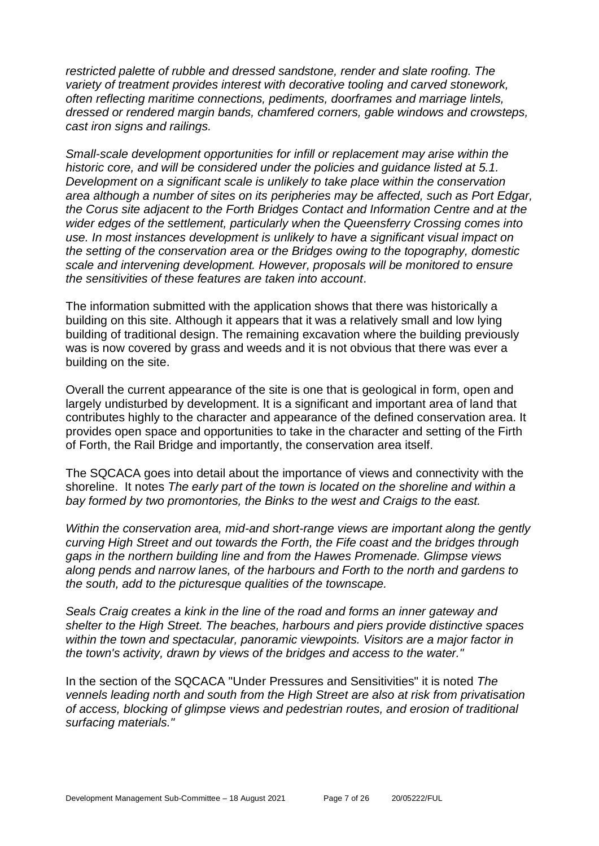*restricted palette of rubble and dressed sandstone, render and slate roofing. The variety of treatment provides interest with decorative tooling and carved stonework, often reflecting maritime connections, pediments, doorframes and marriage lintels, dressed or rendered margin bands, chamfered corners, gable windows and crowsteps, cast iron signs and railings.*

*Small-scale development opportunities for infill or replacement may arise within the historic core, and will be considered under the policies and guidance listed at 5.1. Development on a significant scale is unlikely to take place within the conservation area although a number of sites on its peripheries may be affected, such as Port Edgar, the Corus site adjacent to the Forth Bridges Contact and Information Centre and at the wider edges of the settlement, particularly when the Queensferry Crossing comes into use. In most instances development is unlikely to have a significant visual impact on the setting of the conservation area or the Bridges owing to the topography, domestic scale and intervening development. However, proposals will be monitored to ensure the sensitivities of these features are taken into account*.

The information submitted with the application shows that there was historically a building on this site. Although it appears that it was a relatively small and low lying building of traditional design. The remaining excavation where the building previously was is now covered by grass and weeds and it is not obvious that there was ever a building on the site.

Overall the current appearance of the site is one that is geological in form, open and largely undisturbed by development. It is a significant and important area of land that contributes highly to the character and appearance of the defined conservation area. It provides open space and opportunities to take in the character and setting of the Firth of Forth, the Rail Bridge and importantly, the conservation area itself.

The SQCACA goes into detail about the importance of views and connectivity with the shoreline. It notes *The early part of the town is located on the shoreline and within a bay formed by two promontories, the Binks to the west and Craigs to the east.* 

*Within the conservation area, mid-and short-range views are important along the gently curving High Street and out towards the Forth, the Fife coast and the bridges through gaps in the northern building line and from the Hawes Promenade. Glimpse views along pends and narrow lanes, of the harbours and Forth to the north and gardens to the south, add to the picturesque qualities of the townscape.* 

*Seals Craig creates a kink in the line of the road and forms an inner gateway and shelter to the High Street. The beaches, harbours and piers provide distinctive spaces within the town and spectacular, panoramic viewpoints. Visitors are a major factor in the town's activity, drawn by views of the bridges and access to the water."*

In the section of the SQCACA "Under Pressures and Sensitivities" it is noted *The vennels leading north and south from the High Street are also at risk from privatisation of access, blocking of glimpse views and pedestrian routes, and erosion of traditional surfacing materials."*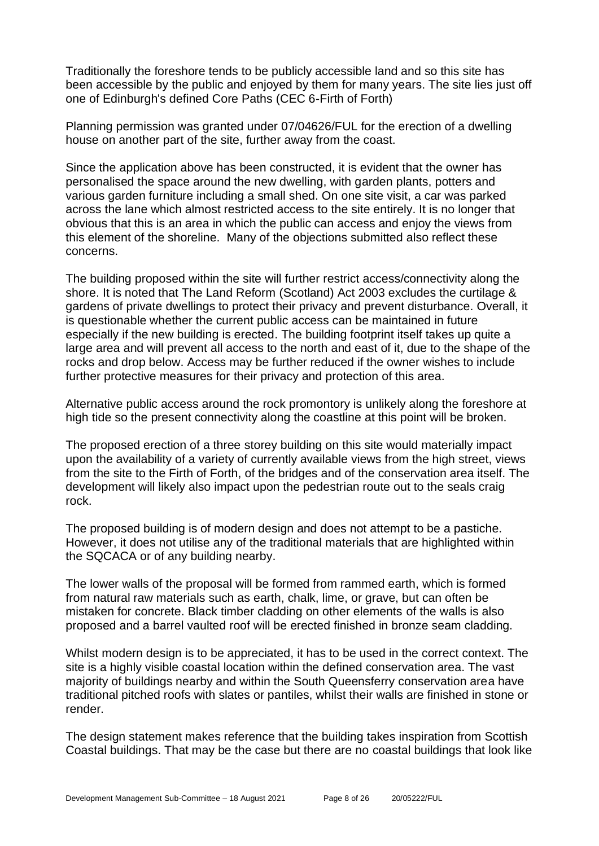Traditionally the foreshore tends to be publicly accessible land and so this site has been accessible by the public and enjoyed by them for many years. The site lies just off one of Edinburgh's defined Core Paths (CEC 6-Firth of Forth)

Planning permission was granted under 07/04626/FUL for the erection of a dwelling house on another part of the site, further away from the coast.

Since the application above has been constructed, it is evident that the owner has personalised the space around the new dwelling, with garden plants, potters and various garden furniture including a small shed. On one site visit, a car was parked across the lane which almost restricted access to the site entirely. It is no longer that obvious that this is an area in which the public can access and enjoy the views from this element of the shoreline. Many of the objections submitted also reflect these concerns.

The building proposed within the site will further restrict access/connectivity along the shore. It is noted that The Land Reform (Scotland) Act 2003 excludes the curtilage & gardens of private dwellings to protect their privacy and prevent disturbance. Overall, it is questionable whether the current public access can be maintained in future especially if the new building is erected. The building footprint itself takes up quite a large area and will prevent all access to the north and east of it, due to the shape of the rocks and drop below. Access may be further reduced if the owner wishes to include further protective measures for their privacy and protection of this area.

Alternative public access around the rock promontory is unlikely along the foreshore at high tide so the present connectivity along the coastline at this point will be broken.

The proposed erection of a three storey building on this site would materially impact upon the availability of a variety of currently available views from the high street, views from the site to the Firth of Forth, of the bridges and of the conservation area itself. The development will likely also impact upon the pedestrian route out to the seals craig rock.

The proposed building is of modern design and does not attempt to be a pastiche. However, it does not utilise any of the traditional materials that are highlighted within the SQCACA or of any building nearby.

The lower walls of the proposal will be formed from rammed earth, which is formed from natural raw materials such as earth, chalk, lime, or grave, but can often be mistaken for concrete. Black timber cladding on other elements of the walls is also proposed and a barrel vaulted roof will be erected finished in bronze seam cladding.

Whilst modern design is to be appreciated, it has to be used in the correct context. The site is a highly visible coastal location within the defined conservation area. The vast majority of buildings nearby and within the South Queensferry conservation area have traditional pitched roofs with slates or pantiles, whilst their walls are finished in stone or render.

The design statement makes reference that the building takes inspiration from Scottish Coastal buildings. That may be the case but there are no coastal buildings that look like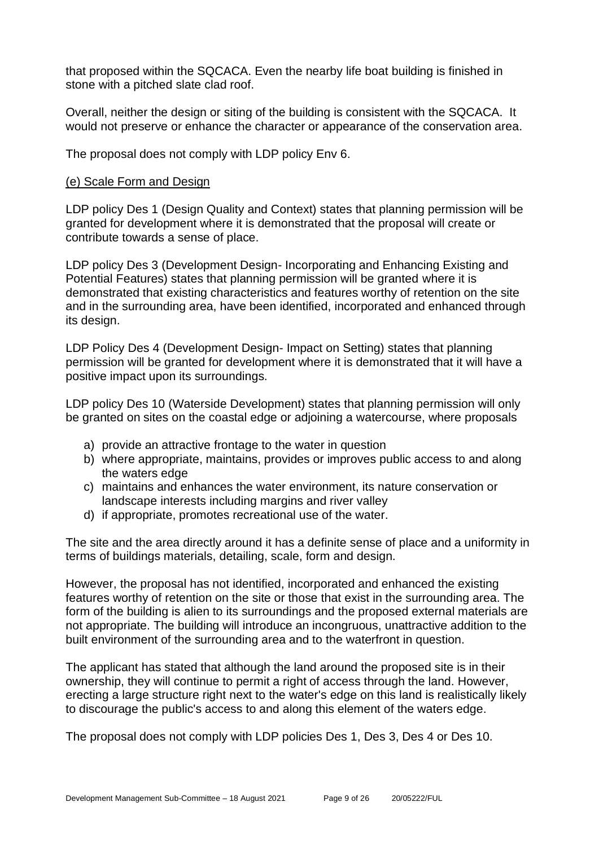that proposed within the SQCACA. Even the nearby life boat building is finished in stone with a pitched slate clad roof.

Overall, neither the design or siting of the building is consistent with the SQCACA. It would not preserve or enhance the character or appearance of the conservation area.

The proposal does not comply with LDP policy Env 6.

## (e) Scale Form and Design

LDP policy Des 1 (Design Quality and Context) states that planning permission will be granted for development where it is demonstrated that the proposal will create or contribute towards a sense of place.

LDP policy Des 3 (Development Design- Incorporating and Enhancing Existing and Potential Features) states that planning permission will be granted where it is demonstrated that existing characteristics and features worthy of retention on the site and in the surrounding area, have been identified, incorporated and enhanced through its design.

LDP Policy Des 4 (Development Design- Impact on Setting) states that planning permission will be granted for development where it is demonstrated that it will have a positive impact upon its surroundings.

LDP policy Des 10 (Waterside Development) states that planning permission will only be granted on sites on the coastal edge or adjoining a watercourse, where proposals

- a) provide an attractive frontage to the water in question
- b) where appropriate, maintains, provides or improves public access to and along the waters edge
- c) maintains and enhances the water environment, its nature conservation or landscape interests including margins and river valley
- d) if appropriate, promotes recreational use of the water.

The site and the area directly around it has a definite sense of place and a uniformity in terms of buildings materials, detailing, scale, form and design.

However, the proposal has not identified, incorporated and enhanced the existing features worthy of retention on the site or those that exist in the surrounding area. The form of the building is alien to its surroundings and the proposed external materials are not appropriate. The building will introduce an incongruous, unattractive addition to the built environment of the surrounding area and to the waterfront in question.

The applicant has stated that although the land around the proposed site is in their ownership, they will continue to permit a right of access through the land. However, erecting a large structure right next to the water's edge on this land is realistically likely to discourage the public's access to and along this element of the waters edge.

The proposal does not comply with LDP policies Des 1, Des 3, Des 4 or Des 10.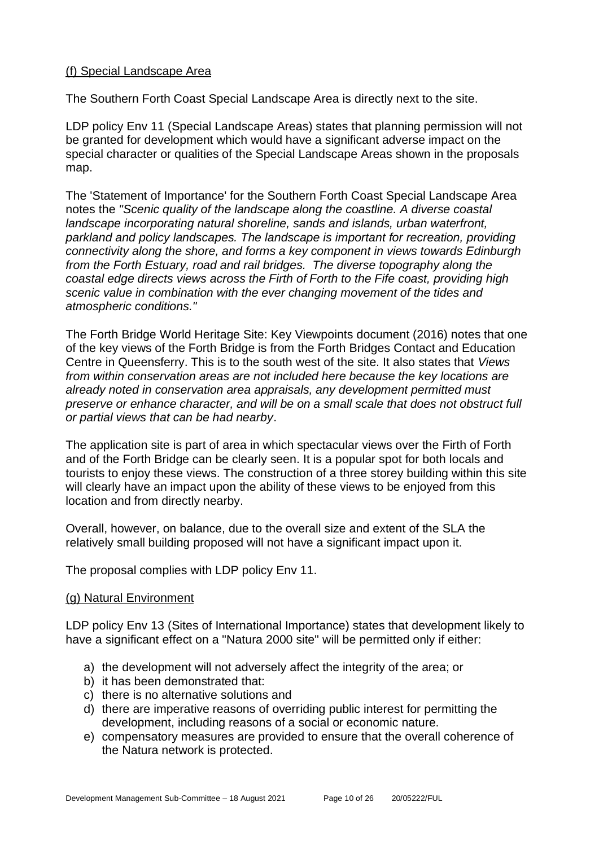## (f) Special Landscape Area

The Southern Forth Coast Special Landscape Area is directly next to the site.

LDP policy Env 11 (Special Landscape Areas) states that planning permission will not be granted for development which would have a significant adverse impact on the special character or qualities of the Special Landscape Areas shown in the proposals map.

The 'Statement of Importance' for the Southern Forth Coast Special Landscape Area notes the *"Scenic quality of the landscape along the coastline. A diverse coastal landscape incorporating natural shoreline, sands and islands, urban waterfront, parkland and policy landscapes. The landscape is important for recreation, providing connectivity along the shore, and forms a key component in views towards Edinburgh from the Forth Estuary, road and rail bridges. The diverse topography along the coastal edge directs views across the Firth of Forth to the Fife coast, providing high scenic value in combination with the ever changing movement of the tides and atmospheric conditions."*

The Forth Bridge World Heritage Site: Key Viewpoints document (2016) notes that one of the key views of the Forth Bridge is from the Forth Bridges Contact and Education Centre in Queensferry. This is to the south west of the site. It also states that *Views from within conservation areas are not included here because the key locations are already noted in conservation area appraisals, any development permitted must preserve or enhance character, and will be on a small scale that does not obstruct full or partial views that can be had nearby*.

The application site is part of area in which spectacular views over the Firth of Forth and of the Forth Bridge can be clearly seen. It is a popular spot for both locals and tourists to enjoy these views. The construction of a three storey building within this site will clearly have an impact upon the ability of these views to be enjoyed from this location and from directly nearby.

Overall, however, on balance, due to the overall size and extent of the SLA the relatively small building proposed will not have a significant impact upon it.

The proposal complies with LDP policy Env 11.

## (g) Natural Environment

LDP policy Env 13 (Sites of International Importance) states that development likely to have a significant effect on a "Natura 2000 site" will be permitted only if either:

- a) the development will not adversely affect the integrity of the area; or
- b) it has been demonstrated that:
- c) there is no alternative solutions and
- d) there are imperative reasons of overriding public interest for permitting the development, including reasons of a social or economic nature.
- e) compensatory measures are provided to ensure that the overall coherence of the Natura network is protected.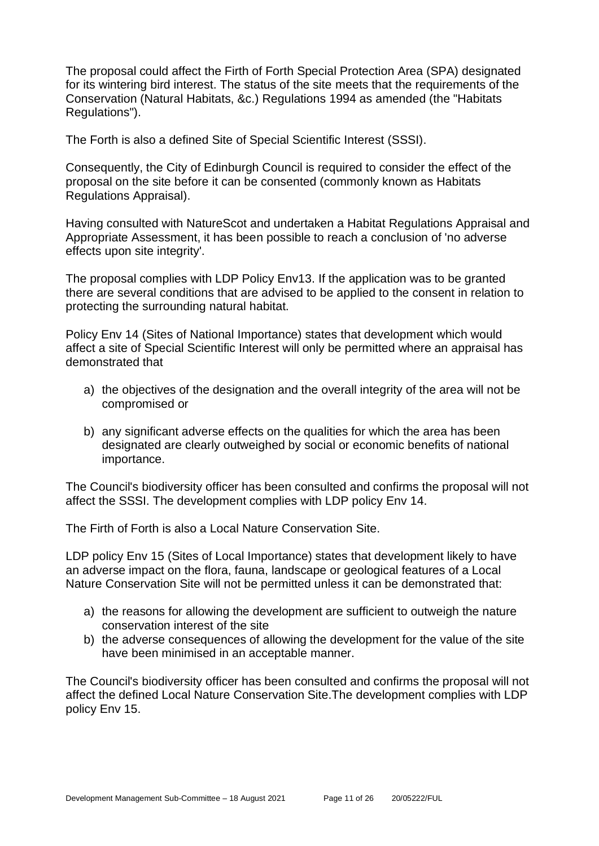The proposal could affect the Firth of Forth Special Protection Area (SPA) designated for its wintering bird interest. The status of the site meets that the requirements of the Conservation (Natural Habitats, &c.) Regulations 1994 as amended (the "Habitats Regulations").

The Forth is also a defined Site of Special Scientific Interest (SSSI).

Consequently, the City of Edinburgh Council is required to consider the effect of the proposal on the site before it can be consented (commonly known as Habitats Regulations Appraisal).

Having consulted with NatureScot and undertaken a Habitat Regulations Appraisal and Appropriate Assessment, it has been possible to reach a conclusion of 'no adverse effects upon site integrity'.

The proposal complies with LDP Policy Env13. If the application was to be granted there are several conditions that are advised to be applied to the consent in relation to protecting the surrounding natural habitat.

Policy Env 14 (Sites of National Importance) states that development which would affect a site of Special Scientific Interest will only be permitted where an appraisal has demonstrated that

- a) the objectives of the designation and the overall integrity of the area will not be compromised or
- b) any significant adverse effects on the qualities for which the area has been designated are clearly outweighed by social or economic benefits of national importance.

The Council's biodiversity officer has been consulted and confirms the proposal will not affect the SSSI. The development complies with LDP policy Env 14.

The Firth of Forth is also a Local Nature Conservation Site.

LDP policy Env 15 (Sites of Local Importance) states that development likely to have an adverse impact on the flora, fauna, landscape or geological features of a Local Nature Conservation Site will not be permitted unless it can be demonstrated that:

- a) the reasons for allowing the development are sufficient to outweigh the nature conservation interest of the site
- b) the adverse consequences of allowing the development for the value of the site have been minimised in an acceptable manner.

The Council's biodiversity officer has been consulted and confirms the proposal will not affect the defined Local Nature Conservation Site.The development complies with LDP policy Env 15.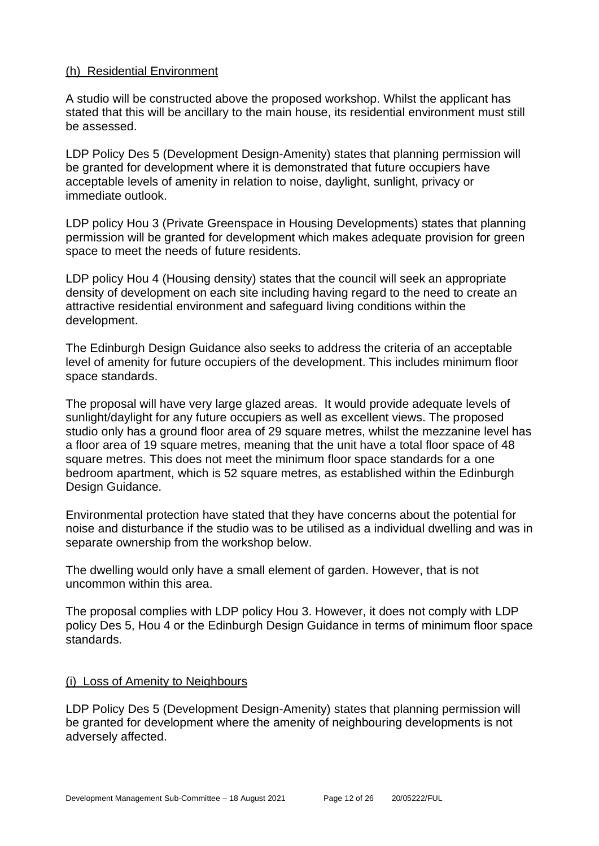## (h) Residential Environment

A studio will be constructed above the proposed workshop. Whilst the applicant has stated that this will be ancillary to the main house, its residential environment must still be assessed.

LDP Policy Des 5 (Development Design-Amenity) states that planning permission will be granted for development where it is demonstrated that future occupiers have acceptable levels of amenity in relation to noise, daylight, sunlight, privacy or immediate outlook.

LDP policy Hou 3 (Private Greenspace in Housing Developments) states that planning permission will be granted for development which makes adequate provision for green space to meet the needs of future residents.

LDP policy Hou 4 (Housing density) states that the council will seek an appropriate density of development on each site including having regard to the need to create an attractive residential environment and safeguard living conditions within the development.

The Edinburgh Design Guidance also seeks to address the criteria of an acceptable level of amenity for future occupiers of the development. This includes minimum floor space standards.

The proposal will have very large glazed areas. It would provide adequate levels of sunlight/daylight for any future occupiers as well as excellent views. The proposed studio only has a ground floor area of 29 square metres, whilst the mezzanine level has a floor area of 19 square metres, meaning that the unit have a total floor space of 48 square metres. This does not meet the minimum floor space standards for a one bedroom apartment, which is 52 square metres, as established within the Edinburgh Design Guidance.

Environmental protection have stated that they have concerns about the potential for noise and disturbance if the studio was to be utilised as a individual dwelling and was in separate ownership from the workshop below.

The dwelling would only have a small element of garden. However, that is not uncommon within this area.

The proposal complies with LDP policy Hou 3. However, it does not comply with LDP policy Des 5, Hou 4 or the Edinburgh Design Guidance in terms of minimum floor space standards.

#### (i) Loss of Amenity to Neighbours

LDP Policy Des 5 (Development Design-Amenity) states that planning permission will be granted for development where the amenity of neighbouring developments is not adversely affected.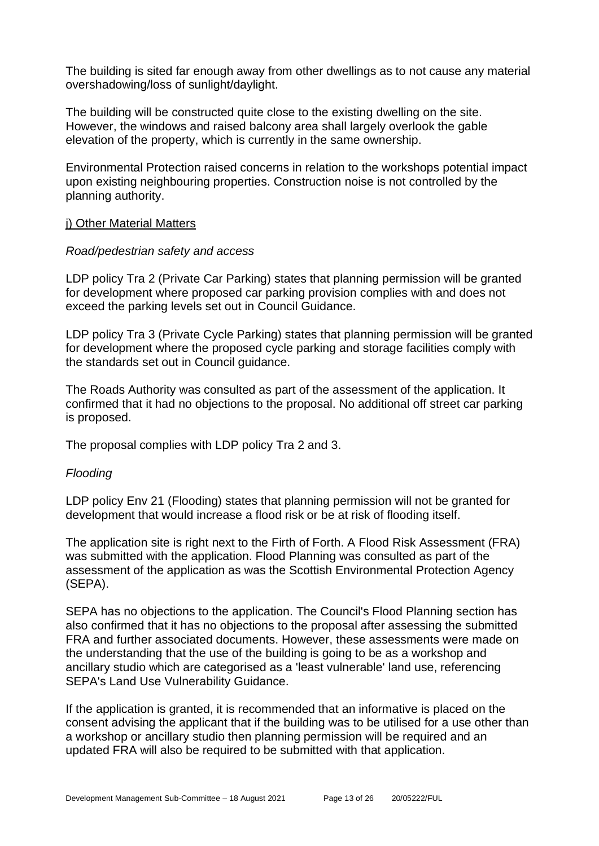The building is sited far enough away from other dwellings as to not cause any material overshadowing/loss of sunlight/daylight.

The building will be constructed quite close to the existing dwelling on the site. However, the windows and raised balcony area shall largely overlook the gable elevation of the property, which is currently in the same ownership.

Environmental Protection raised concerns in relation to the workshops potential impact upon existing neighbouring properties. Construction noise is not controlled by the planning authority.

#### j) Other Material Matters

## *Road/pedestrian safety and access*

LDP policy Tra 2 (Private Car Parking) states that planning permission will be granted for development where proposed car parking provision complies with and does not exceed the parking levels set out in Council Guidance.

LDP policy Tra 3 (Private Cycle Parking) states that planning permission will be granted for development where the proposed cycle parking and storage facilities comply with the standards set out in Council guidance.

The Roads Authority was consulted as part of the assessment of the application. It confirmed that it had no objections to the proposal. No additional off street car parking is proposed.

The proposal complies with LDP policy Tra 2 and 3.

## *Flooding*

LDP policy Env 21 (Flooding) states that planning permission will not be granted for development that would increase a flood risk or be at risk of flooding itself.

The application site is right next to the Firth of Forth. A Flood Risk Assessment (FRA) was submitted with the application. Flood Planning was consulted as part of the assessment of the application as was the Scottish Environmental Protection Agency (SEPA).

SEPA has no objections to the application. The Council's Flood Planning section has also confirmed that it has no objections to the proposal after assessing the submitted FRA and further associated documents. However, these assessments were made on the understanding that the use of the building is going to be as a workshop and ancillary studio which are categorised as a 'least vulnerable' land use, referencing SEPA's Land Use Vulnerability Guidance.

If the application is granted, it is recommended that an informative is placed on the consent advising the applicant that if the building was to be utilised for a use other than a workshop or ancillary studio then planning permission will be required and an updated FRA will also be required to be submitted with that application.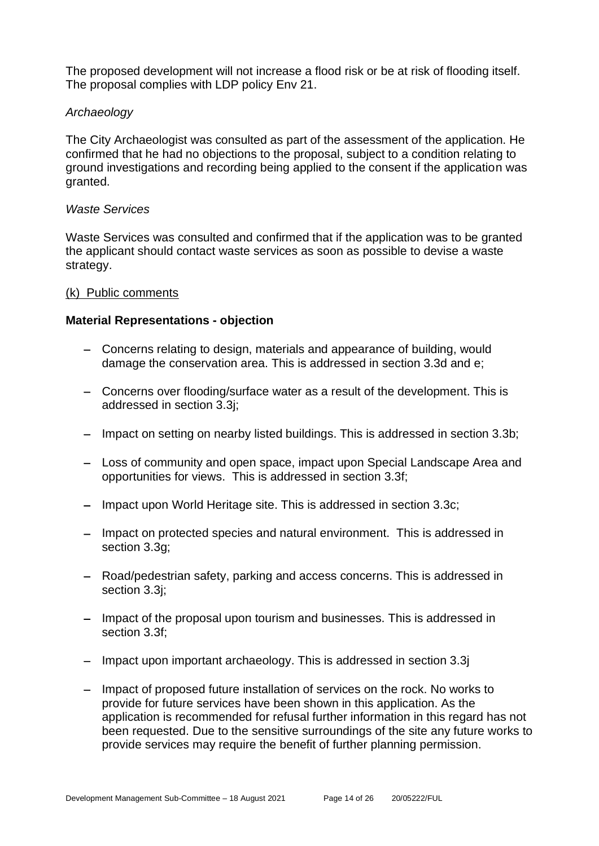The proposed development will not increase a flood risk or be at risk of flooding itself. The proposal complies with LDP policy Env 21.

## *Archaeology*

The City Archaeologist was consulted as part of the assessment of the application. He confirmed that he had no objections to the proposal, subject to a condition relating to ground investigations and recording being applied to the consent if the application was granted.

#### *Waste Services*

Waste Services was consulted and confirmed that if the application was to be granted the applicant should contact waste services as soon as possible to devise a waste strategy.

#### (k) Public comments

#### **Material Representations - objection**

- − Concerns relating to design, materials and appearance of building, would damage the conservation area. This is addressed in section 3.3d and e;
- − Concerns over flooding/surface water as a result of the development. This is addressed in section 3.3j;
- − Impact on setting on nearby listed buildings. This is addressed in section 3.3b;
- − Loss of community and open space, impact upon Special Landscape Area and opportunities for views. This is addressed in section 3.3f;
- − Impact upon World Heritage site. This is addressed in section 3.3c;
- − Impact on protected species and natural environment. This is addressed in section 3.3g;
- − Road/pedestrian safety, parking and access concerns. This is addressed in section 3.3j;
- − Impact of the proposal upon tourism and businesses. This is addressed in section 3.3f;
- − Impact upon important archaeology. This is addressed in section 3.3j
- − Impact of proposed future installation of services on the rock. No works to provide for future services have been shown in this application. As the application is recommended for refusal further information in this regard has not been requested. Due to the sensitive surroundings of the site any future works to provide services may require the benefit of further planning permission.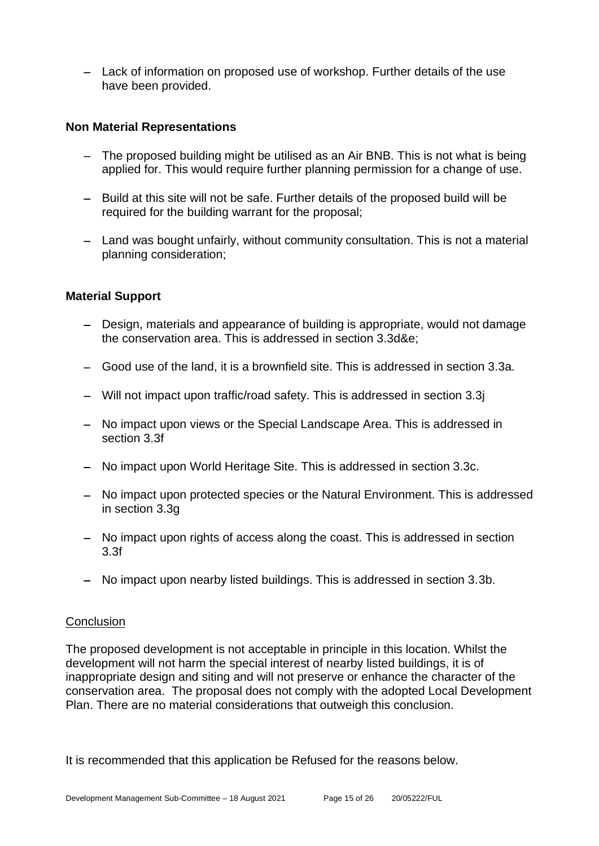− Lack of information on proposed use of workshop. Further details of the use have been provided.

## **Non Material Representations**

- − The proposed building might be utilised as an Air BNB. This is not what is being applied for. This would require further planning permission for a change of use.
- − Build at this site will not be safe. Further details of the proposed build will be required for the building warrant for the proposal;
- − Land was bought unfairly, without community consultation. This is not a material planning consideration;

## **Material Support**

- − Design, materials and appearance of building is appropriate, would not damage the conservation area. This is addressed in section 3.3d&e;
- − Good use of the land, it is a brownfield site. This is addressed in section 3.3a.
- − Will not impact upon traffic/road safety. This is addressed in section 3.3j
- − No impact upon views or the Special Landscape Area. This is addressed in section 3.3f
- − No impact upon World Heritage Site. This is addressed in section 3.3c.
- − No impact upon protected species or the Natural Environment. This is addressed in section 3.3g
- − No impact upon rights of access along the coast. This is addressed in section 3.3f
- − No impact upon nearby listed buildings. This is addressed in section 3.3b.

#### **Conclusion**

The proposed development is not acceptable in principle in this location. Whilst the development will not harm the special interest of nearby listed buildings, it is of inappropriate design and siting and will not preserve or enhance the character of the conservation area. The proposal does not comply with the adopted Local Development Plan. There are no material considerations that outweigh this conclusion.

It is recommended that this application be Refused for the reasons below.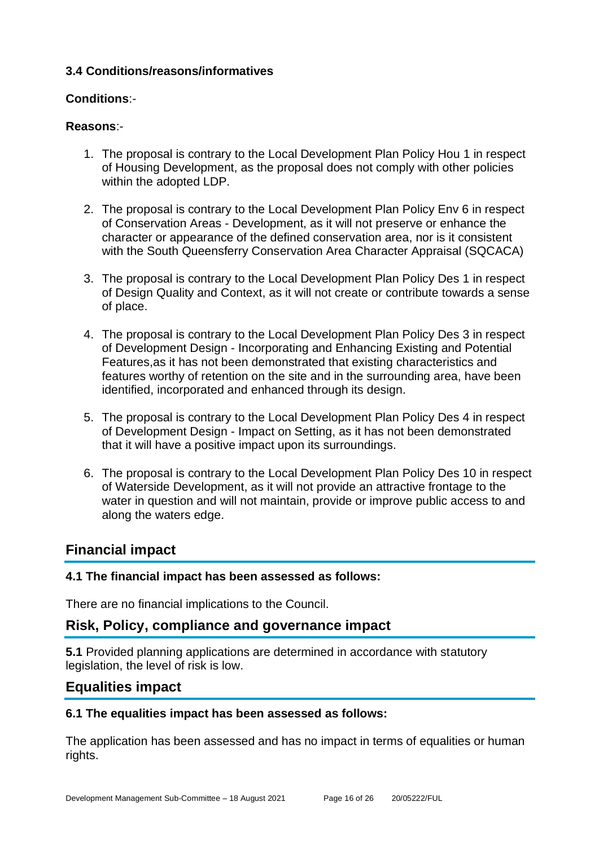## **3.4 Conditions/reasons/informatives**

## **Conditions**:-

## **Reasons**:-

- 1. The proposal is contrary to the Local Development Plan Policy Hou 1 in respect of Housing Development, as the proposal does not comply with other policies within the adopted LDP.
- 2. The proposal is contrary to the Local Development Plan Policy Env 6 in respect of Conservation Areas - Development, as it will not preserve or enhance the character or appearance of the defined conservation area, nor is it consistent with the South Queensferry Conservation Area Character Appraisal (SQCACA)
- 3. The proposal is contrary to the Local Development Plan Policy Des 1 in respect of Design Quality and Context, as it will not create or contribute towards a sense of place.
- 4. The proposal is contrary to the Local Development Plan Policy Des 3 in respect of Development Design - Incorporating and Enhancing Existing and Potential Features,as it has not been demonstrated that existing characteristics and features worthy of retention on the site and in the surrounding area, have been identified, incorporated and enhanced through its design.
- 5. The proposal is contrary to the Local Development Plan Policy Des 4 in respect of Development Design - Impact on Setting, as it has not been demonstrated that it will have a positive impact upon its surroundings.
- 6. The proposal is contrary to the Local Development Plan Policy Des 10 in respect of Waterside Development, as it will not provide an attractive frontage to the water in question and will not maintain, provide or improve public access to and along the waters edge.

## **Financial impact**

## **4.1 The financial impact has been assessed as follows:**

There are no financial implications to the Council.

## **Risk, Policy, compliance and governance impact**

**5.1** Provided planning applications are determined in accordance with statutory legislation, the level of risk is low.

## **Equalities impact**

## **6.1 The equalities impact has been assessed as follows:**

The application has been assessed and has no impact in terms of equalities or human rights.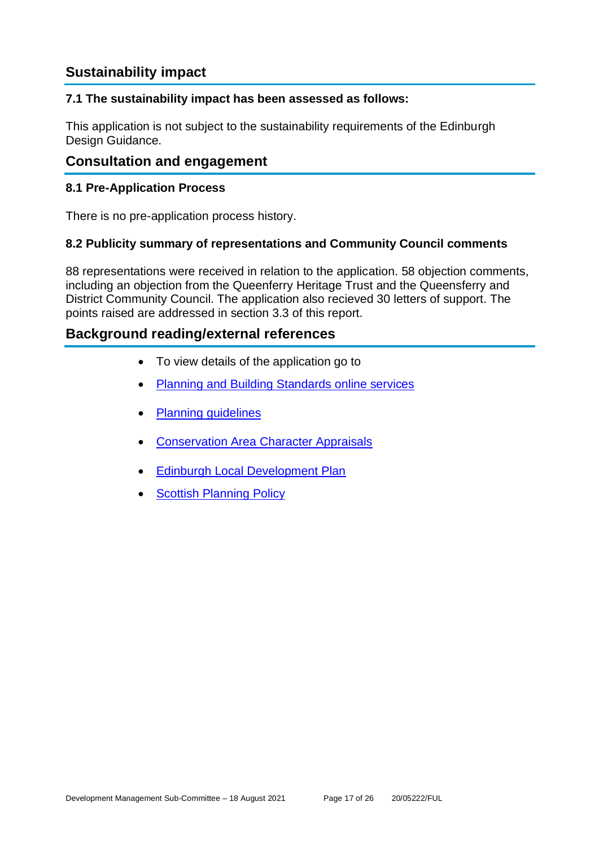## **Sustainability impact**

## **7.1 The sustainability impact has been assessed as follows:**

This application is not subject to the sustainability requirements of the Edinburgh Design Guidance.

## **Consultation and engagement**

## **8.1 Pre-Application Process**

There is no pre-application process history.

## **8.2 Publicity summary of representations and Community Council comments**

88 representations were received in relation to the application. 58 objection comments, including an objection from the Queenferry Heritage Trust and the Queensferry and District Community Council. The application also recieved 30 letters of support. The points raised are addressed in section 3.3 of this report.

## **Background reading/external references**

- To view details of the application go to
- [Planning and Building Standards online services](https://citydev-portal.edinburgh.gov.uk/idoxpa-web/search.do?action=simple&searchType=Application)
- [Planning guidelines](http://www.edinburgh.gov.uk/planningguidelines)
- [Conservation Area Character Appraisals](http://www.edinburgh.gov.uk/characterappraisals)
- [Edinburgh Local Development Plan](http://www.edinburgh.gov.uk/localdevelopmentplan)
- **[Scottish Planning Policy](http://www.scotland.gov.uk/Topics/Built-Environment/planning/Policy)**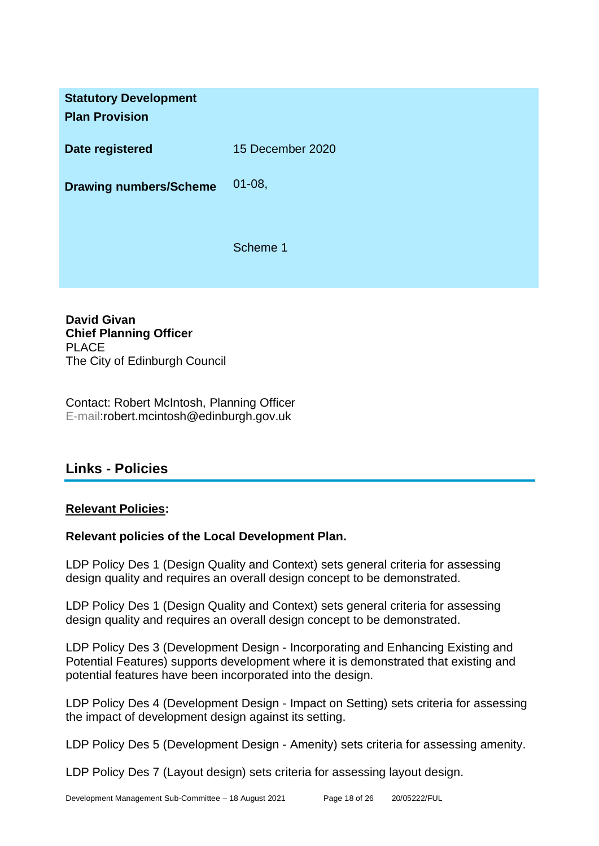**Statutory Development Plan Provision Date registered** 15 December 2020 **Drawing numbers/Scheme** 01-08, Scheme 1

**David Givan Chief Planning Officer** PLACE The City of Edinburgh Council

Contact: Robert McIntosh, Planning Officer E-mail:robert.mcintosh@edinburgh.gov.uk

## **Links - Policies**

## **Relevant Policies:**

## **Relevant policies of the Local Development Plan.**

LDP Policy Des 1 (Design Quality and Context) sets general criteria for assessing design quality and requires an overall design concept to be demonstrated.

LDP Policy Des 1 (Design Quality and Context) sets general criteria for assessing design quality and requires an overall design concept to be demonstrated.

LDP Policy Des 3 (Development Design - Incorporating and Enhancing Existing and Potential Features) supports development where it is demonstrated that existing and potential features have been incorporated into the design.

LDP Policy Des 4 (Development Design - Impact on Setting) sets criteria for assessing the impact of development design against its setting.

LDP Policy Des 5 (Development Design - Amenity) sets criteria for assessing amenity.

LDP Policy Des 7 (Layout design) sets criteria for assessing layout design.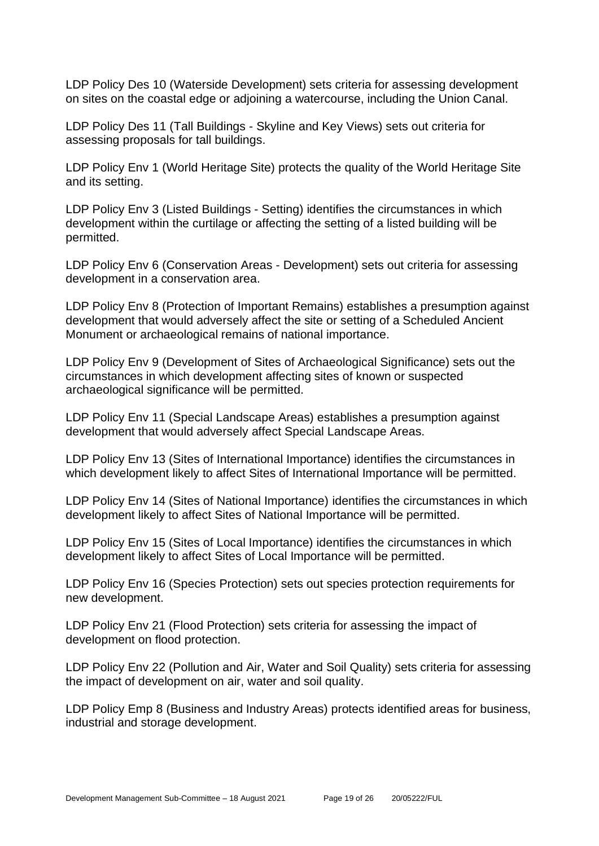LDP Policy Des 10 (Waterside Development) sets criteria for assessing development on sites on the coastal edge or adjoining a watercourse, including the Union Canal.

LDP Policy Des 11 (Tall Buildings - Skyline and Key Views) sets out criteria for assessing proposals for tall buildings.

LDP Policy Env 1 (World Heritage Site) protects the quality of the World Heritage Site and its setting.

LDP Policy Env 3 (Listed Buildings - Setting) identifies the circumstances in which development within the curtilage or affecting the setting of a listed building will be permitted.

LDP Policy Env 6 (Conservation Areas - Development) sets out criteria for assessing development in a conservation area.

LDP Policy Env 8 (Protection of Important Remains) establishes a presumption against development that would adversely affect the site or setting of a Scheduled Ancient Monument or archaeological remains of national importance.

LDP Policy Env 9 (Development of Sites of Archaeological Significance) sets out the circumstances in which development affecting sites of known or suspected archaeological significance will be permitted.

LDP Policy Env 11 (Special Landscape Areas) establishes a presumption against development that would adversely affect Special Landscape Areas.

LDP Policy Env 13 (Sites of International Importance) identifies the circumstances in which development likely to affect Sites of International Importance will be permitted.

LDP Policy Env 14 (Sites of National Importance) identifies the circumstances in which development likely to affect Sites of National Importance will be permitted.

LDP Policy Env 15 (Sites of Local Importance) identifies the circumstances in which development likely to affect Sites of Local Importance will be permitted.

LDP Policy Env 16 (Species Protection) sets out species protection requirements for new development.

LDP Policy Env 21 (Flood Protection) sets criteria for assessing the impact of development on flood protection.

LDP Policy Env 22 (Pollution and Air, Water and Soil Quality) sets criteria for assessing the impact of development on air, water and soil quality.

LDP Policy Emp 8 (Business and Industry Areas) protects identified areas for business, industrial and storage development.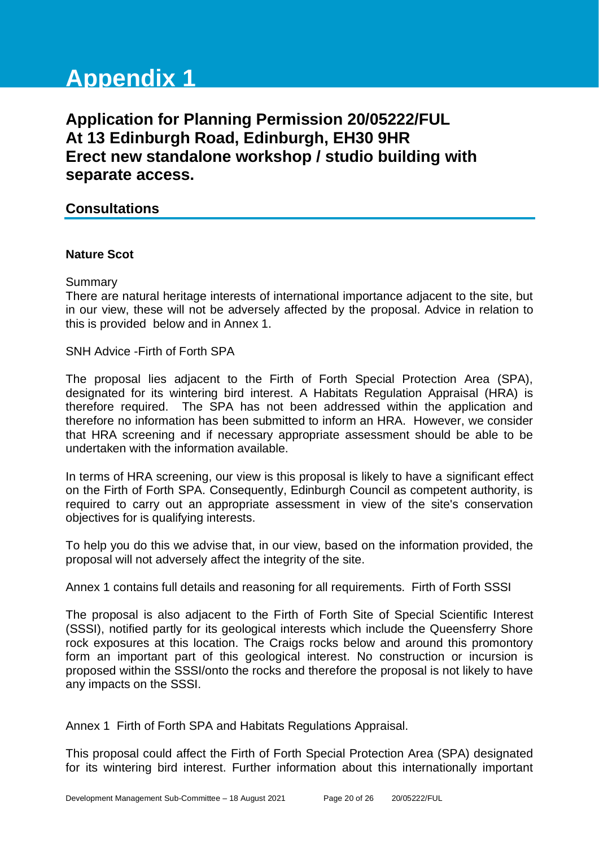# **Appendix 1**

**Application for Planning Permission 20/05222/FUL At 13 Edinburgh Road, Edinburgh, EH30 9HR Erect new standalone workshop / studio building with separate access.**

## **Consultations**

## **Nature Scot**

## Summary

There are natural heritage interests of international importance adjacent to the site, but in our view, these will not be adversely affected by the proposal. Advice in relation to this is provided below and in Annex 1.

SNH Advice -Firth of Forth SPA

The proposal lies adjacent to the Firth of Forth Special Protection Area (SPA), designated for its wintering bird interest. A Habitats Regulation Appraisal (HRA) is therefore required. The SPA has not been addressed within the application and therefore no information has been submitted to inform an HRA. However, we consider that HRA screening and if necessary appropriate assessment should be able to be undertaken with the information available.

In terms of HRA screening, our view is this proposal is likely to have a significant effect on the Firth of Forth SPA. Consequently, Edinburgh Council as competent authority, is required to carry out an appropriate assessment in view of the site's conservation objectives for is qualifying interests.

To help you do this we advise that, in our view, based on the information provided, the proposal will not adversely affect the integrity of the site.

Annex 1 contains full details and reasoning for all requirements. Firth of Forth SSSI

The proposal is also adjacent to the Firth of Forth Site of Special Scientific Interest (SSSI), notified partly for its geological interests which include the Queensferry Shore rock exposures at this location. The Craigs rocks below and around this promontory form an important part of this geological interest. No construction or incursion is proposed within the SSSI/onto the rocks and therefore the proposal is not likely to have any impacts on the SSSI.

Annex 1 Firth of Forth SPA and Habitats Regulations Appraisal.

This proposal could affect the Firth of Forth Special Protection Area (SPA) designated for its wintering bird interest. Further information about this internationally important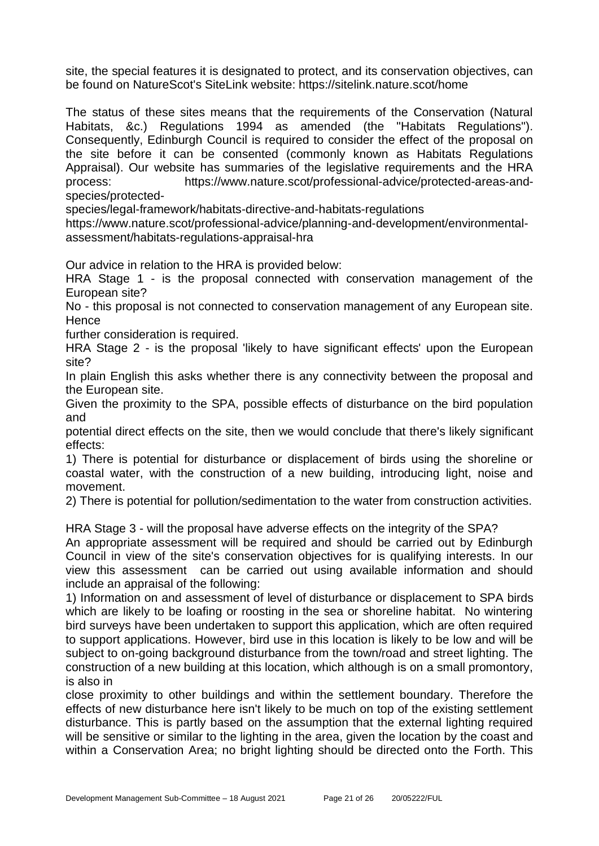site, the special features it is designated to protect, and its conservation objectives, can be found on NatureScot's SiteLink website: https://sitelink.nature.scot/home

The status of these sites means that the requirements of the Conservation (Natural Habitats, &c.) Regulations 1994 as amended (the "Habitats Regulations"). Consequently, Edinburgh Council is required to consider the effect of the proposal on the site before it can be consented (commonly known as Habitats Regulations Appraisal). Our website has summaries of the legislative requirements and the HRA process: https://www.nature.scot/professional-advice/protected-areas-andspecies/protected-

species/legal-framework/habitats-directive-and-habitats-regulations

https://www.nature.scot/professional-advice/planning-and-development/environmentalassessment/habitats-regulations-appraisal-hra

Our advice in relation to the HRA is provided below:

HRA Stage 1 - is the proposal connected with conservation management of the European site?

No - this proposal is not connected to conservation management of any European site. **Hence** 

further consideration is required.

HRA Stage 2 - is the proposal 'likely to have significant effects' upon the European site?

In plain English this asks whether there is any connectivity between the proposal and the European site.

Given the proximity to the SPA, possible effects of disturbance on the bird population and

potential direct effects on the site, then we would conclude that there's likely significant effects:

1) There is potential for disturbance or displacement of birds using the shoreline or coastal water, with the construction of a new building, introducing light, noise and movement.

2) There is potential for pollution/sedimentation to the water from construction activities.

HRA Stage 3 - will the proposal have adverse effects on the integrity of the SPA?

An appropriate assessment will be required and should be carried out by Edinburgh Council in view of the site's conservation objectives for is qualifying interests. In our view this assessment can be carried out using available information and should include an appraisal of the following:

1) Information on and assessment of level of disturbance or displacement to SPA birds which are likely to be loafing or roosting in the sea or shoreline habitat. No wintering bird surveys have been undertaken to support this application, which are often required to support applications. However, bird use in this location is likely to be low and will be subject to on-going background disturbance from the town/road and street lighting. The construction of a new building at this location, which although is on a small promontory, is also in

close proximity to other buildings and within the settlement boundary. Therefore the effects of new disturbance here isn't likely to be much on top of the existing settlement disturbance. This is partly based on the assumption that the external lighting required will be sensitive or similar to the lighting in the area, given the location by the coast and within a Conservation Area; no bright lighting should be directed onto the Forth. This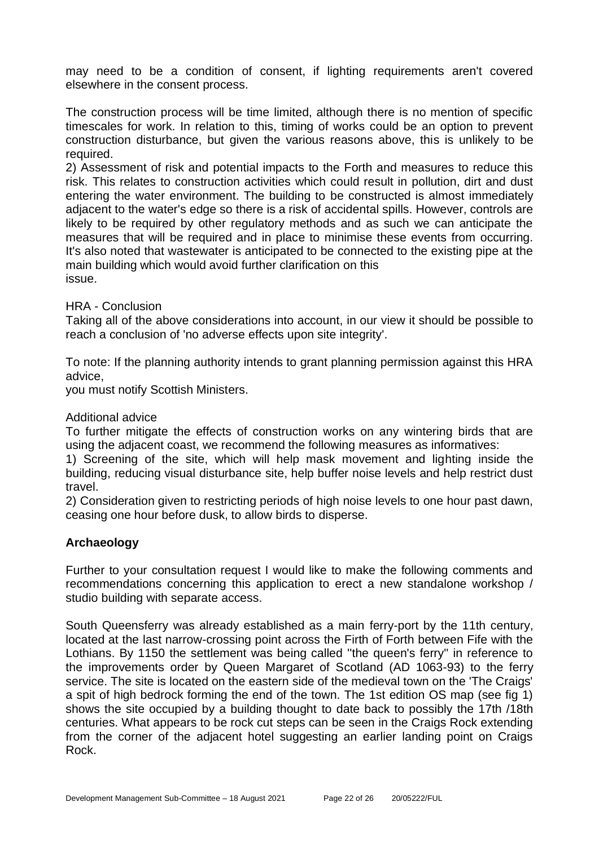may need to be a condition of consent, if lighting requirements aren't covered elsewhere in the consent process.

The construction process will be time limited, although there is no mention of specific timescales for work. In relation to this, timing of works could be an option to prevent construction disturbance, but given the various reasons above, this is unlikely to be required.

2) Assessment of risk and potential impacts to the Forth and measures to reduce this risk. This relates to construction activities which could result in pollution, dirt and dust entering the water environment. The building to be constructed is almost immediately adjacent to the water's edge so there is a risk of accidental spills. However, controls are likely to be required by other regulatory methods and as such we can anticipate the measures that will be required and in place to minimise these events from occurring. It's also noted that wastewater is anticipated to be connected to the existing pipe at the main building which would avoid further clarification on this issue.

## HRA - Conclusion

Taking all of the above considerations into account, in our view it should be possible to reach a conclusion of 'no adverse effects upon site integrity'.

To note: If the planning authority intends to grant planning permission against this HRA advice,

you must notify Scottish Ministers.

#### Additional advice

To further mitigate the effects of construction works on any wintering birds that are using the adjacent coast, we recommend the following measures as informatives:

1) Screening of the site, which will help mask movement and lighting inside the building, reducing visual disturbance site, help buffer noise levels and help restrict dust travel.

2) Consideration given to restricting periods of high noise levels to one hour past dawn, ceasing one hour before dusk, to allow birds to disperse.

## **Archaeology**

Further to your consultation request I would like to make the following comments and recommendations concerning this application to erect a new standalone workshop / studio building with separate access.

South Queensferry was already established as a main ferry-port by the 11th century, located at the last narrow-crossing point across the Firth of Forth between Fife with the Lothians. By 1150 the settlement was being called ''the queen's ferry'' in reference to the improvements order by Queen Margaret of Scotland (AD 1063-93) to the ferry service. The site is located on the eastern side of the medieval town on the 'The Craigs' a spit of high bedrock forming the end of the town. The 1st edition OS map (see fig 1) shows the site occupied by a building thought to date back to possibly the 17th /18th centuries. What appears to be rock cut steps can be seen in the Craigs Rock extending from the corner of the adjacent hotel suggesting an earlier landing point on Craigs Rock.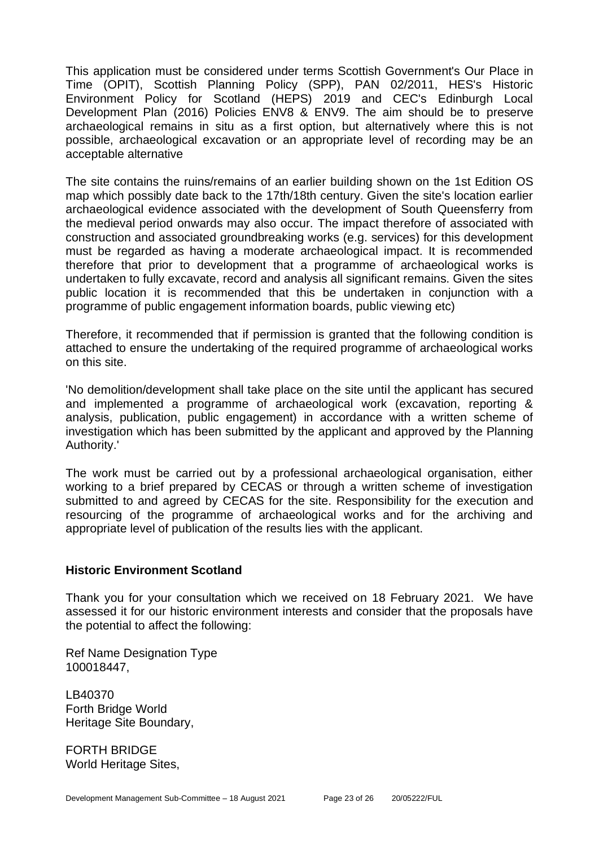This application must be considered under terms Scottish Government's Our Place in Time (OPIT), Scottish Planning Policy (SPP), PAN 02/2011, HES's Historic Environment Policy for Scotland (HEPS) 2019 and CEC's Edinburgh Local Development Plan (2016) Policies ENV8 & ENV9. The aim should be to preserve archaeological remains in situ as a first option, but alternatively where this is not possible, archaeological excavation or an appropriate level of recording may be an acceptable alternative

The site contains the ruins/remains of an earlier building shown on the 1st Edition OS map which possibly date back to the 17th/18th century. Given the site's location earlier archaeological evidence associated with the development of South Queensferry from the medieval period onwards may also occur. The impact therefore of associated with construction and associated groundbreaking works (e.g. services) for this development must be regarded as having a moderate archaeological impact. It is recommended therefore that prior to development that a programme of archaeological works is undertaken to fully excavate, record and analysis all significant remains. Given the sites public location it is recommended that this be undertaken in conjunction with a programme of public engagement information boards, public viewing etc)

Therefore, it recommended that if permission is granted that the following condition is attached to ensure the undertaking of the required programme of archaeological works on this site.

'No demolition/development shall take place on the site until the applicant has secured and implemented a programme of archaeological work (excavation, reporting & analysis, publication, public engagement) in accordance with a written scheme of investigation which has been submitted by the applicant and approved by the Planning Authority.'

The work must be carried out by a professional archaeological organisation, either working to a brief prepared by CECAS or through a written scheme of investigation submitted to and agreed by CECAS for the site. Responsibility for the execution and resourcing of the programme of archaeological works and for the archiving and appropriate level of publication of the results lies with the applicant.

#### **Historic Environment Scotland**

Thank you for your consultation which we received on 18 February 2021. We have assessed it for our historic environment interests and consider that the proposals have the potential to affect the following:

Ref Name Designation Type 100018447,

LB40370 Forth Bridge World Heritage Site Boundary,

FORTH BRIDGE World Heritage Sites,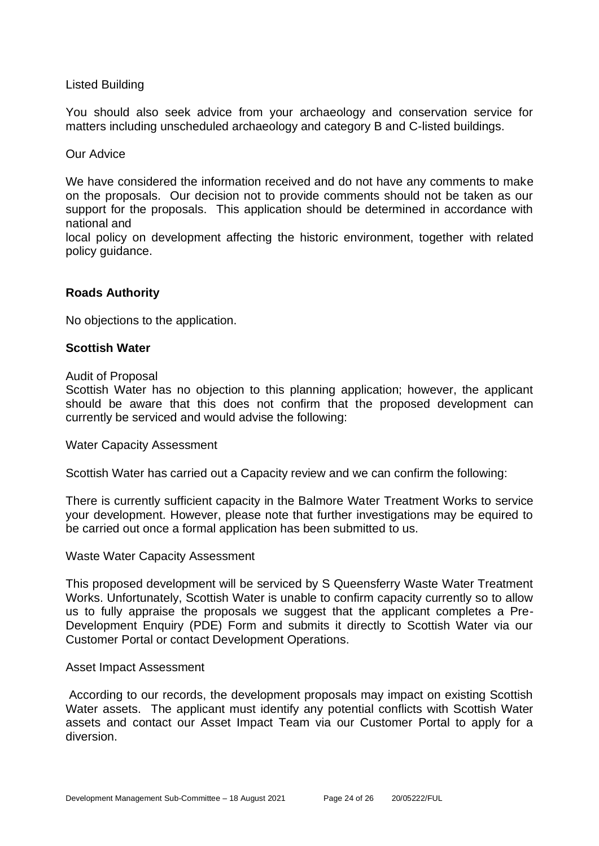## Listed Building

You should also seek advice from your archaeology and conservation service for matters including unscheduled archaeology and category B and C-listed buildings.

#### Our Advice

We have considered the information received and do not have any comments to make on the proposals. Our decision not to provide comments should not be taken as our support for the proposals. This application should be determined in accordance with national and

local policy on development affecting the historic environment, together with related policy guidance.

## **Roads Authority**

No objections to the application.

## **Scottish Water**

#### Audit of Proposal

Scottish Water has no objection to this planning application; however, the applicant should be aware that this does not confirm that the proposed development can currently be serviced and would advise the following:

Water Capacity Assessment

Scottish Water has carried out a Capacity review and we can confirm the following:

There is currently sufficient capacity in the Balmore Water Treatment Works to service your development. However, please note that further investigations may be equired to be carried out once a formal application has been submitted to us.

#### Waste Water Capacity Assessment

This proposed development will be serviced by S Queensferry Waste Water Treatment Works. Unfortunately, Scottish Water is unable to confirm capacity currently so to allow us to fully appraise the proposals we suggest that the applicant completes a Pre-Development Enquiry (PDE) Form and submits it directly to Scottish Water via our Customer Portal or contact Development Operations.

#### Asset Impact Assessment

According to our records, the development proposals may impact on existing Scottish Water assets. The applicant must identify any potential conflicts with Scottish Water assets and contact our Asset Impact Team via our Customer Portal to apply for a diversion.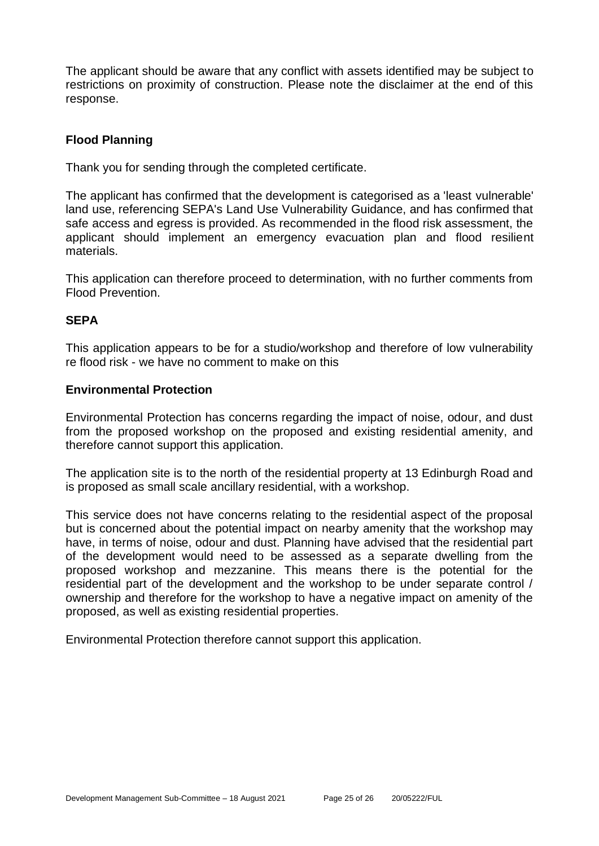The applicant should be aware that any conflict with assets identified may be subject to restrictions on proximity of construction. Please note the disclaimer at the end of this response.

## **Flood Planning**

Thank you for sending through the completed certificate.

The applicant has confirmed that the development is categorised as a 'least vulnerable' land use, referencing SEPA's Land Use Vulnerability Guidance, and has confirmed that safe access and egress is provided. As recommended in the flood risk assessment, the applicant should implement an emergency evacuation plan and flood resilient materials.

This application can therefore proceed to determination, with no further comments from Flood Prevention.

## **SEPA**

This application appears to be for a studio/workshop and therefore of low vulnerability re flood risk - we have no comment to make on this

## **Environmental Protection**

Environmental Protection has concerns regarding the impact of noise, odour, and dust from the proposed workshop on the proposed and existing residential amenity, and therefore cannot support this application.

The application site is to the north of the residential property at 13 Edinburgh Road and is proposed as small scale ancillary residential, with a workshop.

This service does not have concerns relating to the residential aspect of the proposal but is concerned about the potential impact on nearby amenity that the workshop may have, in terms of noise, odour and dust. Planning have advised that the residential part of the development would need to be assessed as a separate dwelling from the proposed workshop and mezzanine. This means there is the potential for the residential part of the development and the workshop to be under separate control / ownership and therefore for the workshop to have a negative impact on amenity of the proposed, as well as existing residential properties.

Environmental Protection therefore cannot support this application.